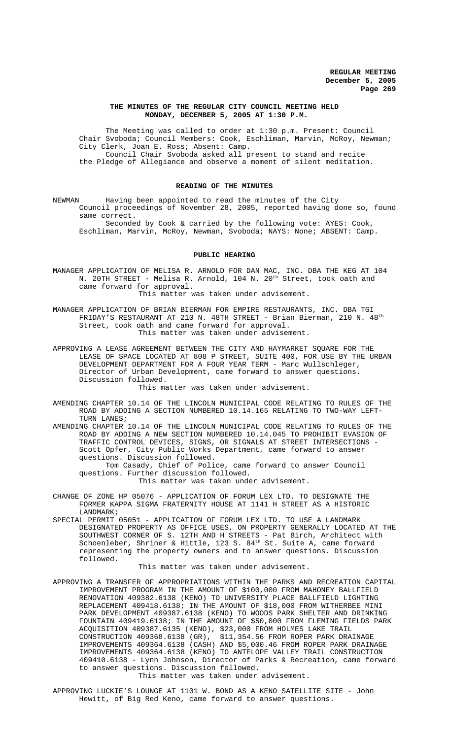### **THE MINUTES OF THE REGULAR CITY COUNCIL MEETING HELD MONDAY, DECEMBER 5, 2005 AT 1:30 P.M.**

The Meeting was called to order at 1:30 p.m. Present: Council Chair Svoboda; Council Members: Cook, Eschliman, Marvin, McRoy, Newman; City Clerk, Joan E. Ross; Absent: Camp. Council Chair Svoboda asked all present to stand and recite the Pledge of Allegiance and observe a moment of silent meditation.

## **READING OF THE MINUTES**

NEWMAN Having been appointed to read the minutes of the City Council proceedings of November 28, 2005, reported having done so, found same correct.

Seconded by Cook & carried by the following vote: AYES: Cook, Eschliman, Marvin, McRoy, Newman, Svoboda; NAYS: None; ABSENT: Camp.

## **PUBLIC HEARING**

MANAGER APPLICATION OF MELISA R. ARNOLD FOR DAN MAC, INC. DBA THE KEG AT 104 N. 20TH STREET - Melisa R. Arnold, 104 N. 20<sup>th</sup> Street, took oath and came forward for approval. This matter was taken under advisement.

MANAGER APPLICATION OF BRIAN BIERMAN FOR EMPIRE RESTAURANTS, INC. DBA TGI FRIDAY'S RESTAURANT AT 210 N. 48TH STREET - Brian Bierman, 210 N. 48th Street, took oath and came forward for approval. This matter was taken under advisement.

APPROVING A LEASE AGREEMENT BETWEEN THE CITY AND HAYMARKET SQUARE FOR THE LEASE OF SPACE LOCATED AT 808 P STREET, SUITE 400, FOR USE BY THE URBAN DEVELOPMENT DEPARTMENT FOR A FOUR YEAR TERM - Marc Wullschleger, Director of Urban Development, came forward to answer questions. Discussion followed.

This matter was taken under advisement.

AMENDING CHAPTER 10.14 OF THE LINCOLN MUNICIPAL CODE RELATING TO RULES OF THE ROAD BY ADDING A SECTION NUMBERED 10.14.165 RELATING TO TWO-WAY LEFT-TURN LANES;

AMENDING CHAPTER 10.14 OF THE LINCOLN MUNICIPAL CODE RELATING TO RULES OF THE ROAD BY ADDING A NEW SECTION NUMBERED 10.14.045 TO PROHIBIT EVASION OF TRAFFIC CONTROL DEVICES, SIGNS, OR SIGNALS AT STREET INTERSECTIONS - Scott Opfer, City Public Works Department, came forward to answer questions. Discussion followed.

Tom Casady, Chief of Police, came forward to answer Council questions. Further discussion followed.

This matter was taken under advisement.

- CHANGE OF ZONE HP 05076 APPLICATION OF FORUM LEX LTD. TO DESIGNATE THE FORMER KAPPA SIGMA FRATERNITY HOUSE AT 1141 H STREET AS A HISTORIC LANDMARK;
- SPECIAL PERMIT 05051 APPLICATION OF FORUM LEX LTD. TO USE A LANDMARK DESIGNATED PROPERTY AS OFFICE USES, ON PROPERTY GENERALLY LOCATED AT THE SOUTHWEST CORNER OF S. 12TH AND H STREETS - Pat Birch, Architect with Schoenleber, Shriner & Hittle, 123 S. 84<sup>th</sup> St. Suite A, came forward representing the property owners and to answer questions. Discussion followed.

This matter was taken under advisement.

APPROVING A TRANSFER OF APPROPRIATIONS WITHIN THE PARKS AND RECREATION CAPITAL IMPROVEMENT PROGRAM IN THE AMOUNT OF \$100,000 FROM MAHONEY BALLFIELD RENOVATION 409382.6138 (KENO) TO UNIVERSITY PLACE BALLFIELD LIGHTING REPLACEMENT 409418.6138; IN THE AMOUNT OF \$18,000 FROM WITHERBEE MINI PARK DEVELOPMENT 409387.6138 (KENO) TO WOODS PARK SHELTER AND DRINKING FOUNTAIN 409419.6138; IN THE AMOUNT OF \$50,000 FROM FLEMING FIELDS PARK ACQUISITION 409387.6135 (KENO), \$23,000 FROM HOLMES LAKE TRAIL CONSTRUCTION 409368.6138 (GR), \$11,354.56 FROM ROPER PARK DRAINAGE IMPROVEMENTS 409364.6138 (CASH) AND \$5,000.46 FROM ROPER PARK DRAINAGE IMPROVEMENTS 409364.6138 (KENO) TO ANTELOPE VALLEY TRAIL CONSTRUCTION 409410.6138 - Lynn Johnson, Director of Parks & Recreation, came forward to answer questions. Discussion followed. This matter was taken under advisement.

APPROVING LUCKIE'S LOUNGE AT 1101 W. BOND AS A KENO SATELLITE SITE - John Hewitt, of Big Red Keno, came forward to answer questions.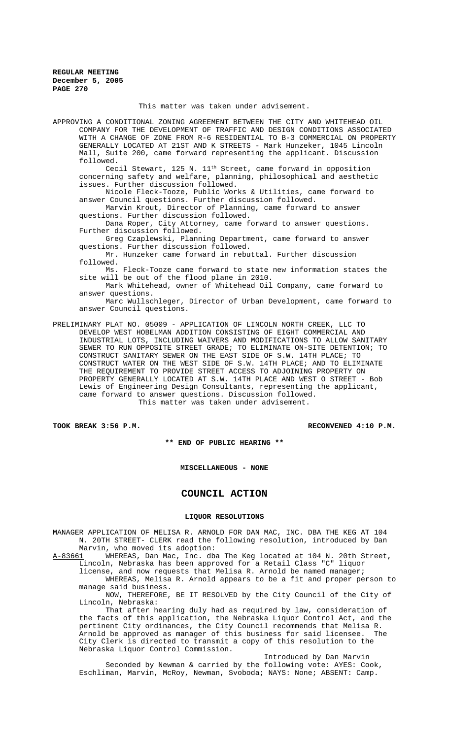This matter was taken under advisement.

APPROVING A CONDITIONAL ZONING AGREEMENT BETWEEN THE CITY AND WHITEHEAD OIL COMPANY FOR THE DEVELOPMENT OF TRAFFIC AND DESIGN CONDITIONS ASSOCIATED WITH A CHANGE OF ZONE FROM R-6 RESIDENTIAL TO B-3 COMMERCIAL ON PROPERTY GENERALLY LOCATED AT 21ST AND K STREETS - Mark Hunzeker, 1045 Lincoln Mall, Suite 200, came forward representing the applicant. Discussion followed.

cecil Stewart, 125 N. 11<sup>th</sup> Street, came forward in opposition concerning safety and welfare, planning, philosophical and aesthetic issues. Further discussion followed.

Nicole Fleck-Tooze, Public Works & Utilities, came forward to answer Council questions. Further discussion followed.

Marvin Krout, Director of Planning, came forward to answer questions. Further discussion followed.

Dana Roper, City Attorney, came forward to answer questions. Further discussion followed.

Greg Czaplewski, Planning Department, came forward to answer questions. Further discussion followed.

Mr. Hunzeker came forward in rebuttal. Further discussion followed.

Ms. Fleck-Tooze came forward to state new information states the site will be out of the flood plane in 2010.

Mark Whitehead, owner of Whitehead Oil Company, came forward to answer questions.

Marc Wullschleger, Director of Urban Development, came forward to answer Council questions.

PRELIMINARY PLAT NO. 05009 - APPLICATION OF LINCOLN NORTH CREEK, LLC TO DEVELOP WEST HOBELMAN ADDITION CONSISTING OF EIGHT COMMERCIAL AND INDUSTRIAL LOTS, INCLUDING WAIVERS AND MODIFICATIONS TO ALLOW SANITARY SEWER TO RUN OPPOSITE STREET GRADE; TO ELIMINATE ON-SITE DETENTION; TO CONSTRUCT SANITARY SEWER ON THE EAST SIDE OF S.W. 14TH PLACE; TO CONSTRUCT WATER ON THE WEST SIDE OF S.W. 14TH PLACE; AND TO ELIMINATE THE REQUIREMENT TO PROVIDE STREET ACCESS TO ADJOINING PROPERTY ON PROPERTY GENERALLY LOCATED AT S.W. 14TH PLACE AND WEST O STREET - Bob Lewis of Engineering Design Consultants, representing the applicant, came forward to answer questions. Discussion followed. This matter was taken under advisement.

TOOK BREAK 3:56 P.M. **RECONVENED 4:10 P.M.** RECONVENED 4:10 P.M.

**\*\* END OF PUBLIC HEARING \*\***

**MISCELLANEOUS - NONE**

**COUNCIL ACTION**

#### **LIQUOR RESOLUTIONS**

MANAGER APPLICATION OF MELISA R. ARNOLD FOR DAN MAC, INC. DBA THE KEG AT 104 N. 20TH STREET- CLERK read the following resolution, introduced by Dan

Marvin, who moved its adoption:<br>A-83661 WHEREAS, Dan Mac, Inc. db WHEREAS, Dan Mac, Inc. dba The Keg located at 104 N. 20th Street, Lincoln, Nebraska has been approved for a Retail Class "C" liquor

license, and now requests that Melisa R. Arnold be named manager; WHEREAS, Melisa R. Arnold appears to be a fit and proper person to

manage said business. NOW, THEREFORE, BE IT RESOLVED by the City Council of the City of Lincoln, Nebraska:

That after hearing duly had as required by law, consideration of the facts of this application, the Nebraska Liquor Control Act, and the pertinent City ordinances, the City Council recommends that Melisa R. Arnold be approved as manager of this business for said licensee. The City Clerk is directed to transmit a copy of this resolution to the Nebraska Liquor Control Commission.

Introduced by Dan Marvin

Seconded by Newman & carried by the following vote: AYES: Cook, Eschliman, Marvin, McRoy, Newman, Svoboda; NAYS: None; ABSENT: Camp.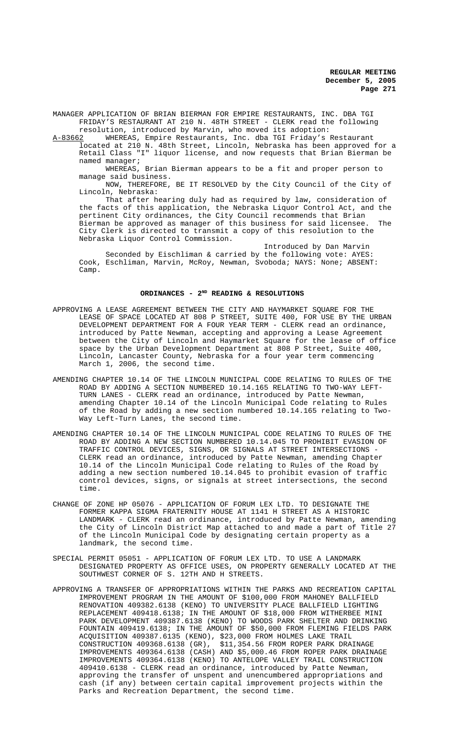MANAGER APPLICATION OF BRIAN BIERMAN FOR EMPIRE RESTAURANTS, INC. DBA TGI FRIDAY'S RESTAURANT AT 210 N. 48TH STREET - CLERK read the following

resolution, introduced by Marvin, who moved its adoption:<br>A-83662 WHEREAS, Empire Restaurants, Inc. dba TGI Friday's WHEREAS, Empire Restaurants, Inc. dba TGI Friday's Restaurant located at 210 N. 48th Street, Lincoln, Nebraska has been approved for a Retail Class "I" liquor license, and now requests that Brian Bierman be named manager;

WHEREAS, Brian Bierman appears to be a fit and proper person to manage said business.

NOW, THEREFORE, BE IT RESOLVED by the City Council of the City of Lincoln, Nebraska:

That after hearing duly had as required by law, consideration of the facts of this application, the Nebraska Liquor Control Act, and the pertinent City ordinances, the City Council recommends that Brian Bierman be approved as manager of this business for said licensee. The City Clerk is directed to transmit a copy of this resolution to the Nebraska Liquor Control Commission.

Introduced by Dan Marvin Seconded by Eischliman & carried by the following vote: AYES: Cook, Eschliman, Marvin, McRoy, Newman, Svoboda; NAYS: None; ABSENT: Camp.

### **ORDINANCES - 2ND READING & RESOLUTIONS**

- APPROVING A LEASE AGREEMENT BETWEEN THE CITY AND HAYMARKET SQUARE FOR THE LEASE OF SPACE LOCATED AT 808 P STREET, SUITE 400, FOR USE BY THE URBAN DEVELOPMENT DEPARTMENT FOR A FOUR YEAR TERM - CLERK read an ordinance, introduced by Patte Newman, accepting and approving a Lease Agreement between the City of Lincoln and Haymarket Square for the lease of office space by the Urban Development Department at 808 P Street, Suite 400, Lincoln, Lancaster County, Nebraska for a four year term commencing March 1, 2006, the second time.
- AMENDING CHAPTER 10.14 OF THE LINCOLN MUNICIPAL CODE RELATING TO RULES OF THE ROAD BY ADDING A SECTION NUMBERED 10.14.165 RELATING TO TWO-WAY LEFT-TURN LANES - CLERK read an ordinance, introduced by Patte Newman, amending Chapter 10.14 of the Lincoln Municipal Code relating to Rules of the Road by adding a new section numbered 10.14.165 relating to Two-Way Left-Turn Lanes, the second time.
- AMENDING CHAPTER 10.14 OF THE LINCOLN MUNICIPAL CODE RELATING TO RULES OF THE ROAD BY ADDING A NEW SECTION NUMBERED 10.14.045 TO PROHIBIT EVASION OF TRAFFIC CONTROL DEVICES, SIGNS, OR SIGNALS AT STREET INTERSECTIONS - CLERK read an ordinance, introduced by Patte Newman, amending Chapter 10.14 of the Lincoln Municipal Code relating to Rules of the Road by adding a new section numbered 10.14.045 to prohibit evasion of traffic control devices, signs, or signals at street intersections, the second time.
- CHANGE OF ZONE HP 05076 APPLICATION OF FORUM LEX LTD. TO DESIGNATE THE FORMER KAPPA SIGMA FRATERNITY HOUSE AT 1141 H STREET AS A HISTORIC LANDMARK - CLERK read an ordinance, introduced by Patte Newman, amending the City of Lincoln District Map attached to and made a part of Title 27 of the Lincoln Municipal Code by designating certain property as a landmark, the second time.
- SPECIAL PERMIT 05051 APPLICATION OF FORUM LEX LTD. TO USE A LANDMARK DESIGNATED PROPERTY AS OFFICE USES, ON PROPERTY GENERALLY LOCATED AT THE SOUTHWEST CORNER OF S. 12TH AND H STREETS.
- APPROVING A TRANSFER OF APPROPRIATIONS WITHIN THE PARKS AND RECREATION CAPITAL IMPROVEMENT PROGRAM IN THE AMOUNT OF \$100,000 FROM MAHONEY BALLFIELD RENOVATION 409382.6138 (KENO) TO UNIVERSITY PLACE BALLFIELD LIGHTING REPLACEMENT 409418.6138; IN THE AMOUNT OF \$18,000 FROM WITHERBEE MINI PARK DEVELOPMENT 409387.6138 (KENO) TO WOODS PARK SHELTER AND DRINKING FOUNTAIN 409419.6138; IN THE AMOUNT OF \$50,000 FROM FLEMING FIELDS PARK ACQUISITION 409387.6135 (KENO), \$23,000 FROM HOLMES LAKE TRAIL CONSTRUCTION 409368.6138 (GR), \$11,354.56 FROM ROPER PARK DRAINAGE IMPROVEMENTS 409364.6138 (CASH) AND \$5,000.46 FROM ROPER PARK DRAINAGE IMPROVEMENTS 409364.6138 (KENO) TO ANTELOPE VALLEY TRAIL CONSTRUCTION 409410.6138 - CLERK read an ordinance, introduced by Patte Newman, approving the transfer of unspent and unencumbered appropriations and cash (if any) between certain capital improvement projects within the Parks and Recreation Department, the second time.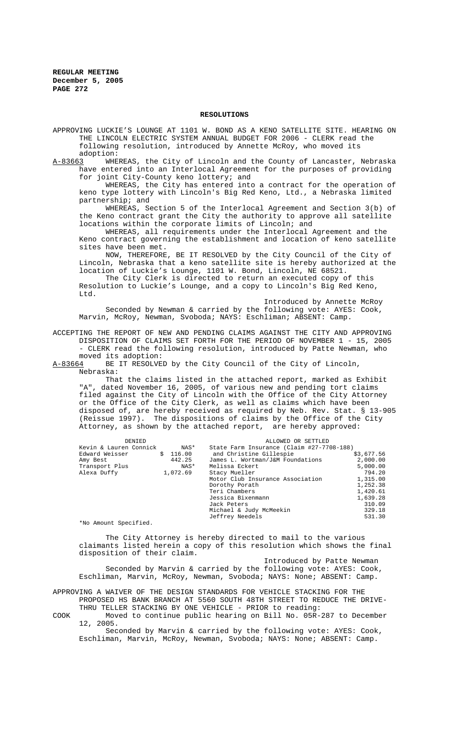#### **RESOLUTIONS**

APPROVING LUCKIE'S LOUNGE AT 1101 W. BOND AS A KENO SATELLITE SITE. HEARING ON THE LINCOLN ELECTRIC SYSTEM ANNUAL BUDGET FOR 2006 - CLERK read the following resolution, introduced by Annette McRoy, who moved its adoption:<br><u>A-83663</u> WHE WHEREAS, the City of Lincoln and the County of Lancaster, Nebraska have entered into an Interlocal Agreement for the purposes of providing for joint City-County keno lottery; and WHEREAS, the City has entered into a contract for the operation of keno type lottery with Lincoln's Big Red Keno, Ltd., a Nebraska limited partnership; and

WHEREAS, Section 5 of the Interlocal Agreement and Section 3(b) of the Keno contract grant the City the authority to approve all satellite locations within the corporate limits of Lincoln; and

WHEREAS, all requirements under the Interlocal Agreement and the Keno contract governing the establishment and location of keno satellite sites have been met.

NOW, THEREFORE, BE IT RESOLVED by the City Council of the City of Lincoln, Nebraska that a keno satellite site is hereby authorized at the location of Luckie's Lounge, 1101 W. Bond, Lincoln, NE 68521.

The City Clerk is directed to return an executed copy of this Resolution to Luckie's Lounge, and a copy to Lincoln's Big Red Keno, Ltd.

Introduced by Annette McRoy Seconded by Newman & carried by the following vote: AYES: Cook, Marvin, McRoy, Newman, Svoboda; NAYS: Eschliman; ABSENT: Camp.

ACCEPTING THE REPORT OF NEW AND PENDING CLAIMS AGAINST THE CITY AND APPROVING DISPOSITION OF CLAIMS SET FORTH FOR THE PERIOD OF NOVEMBER 1 - 15, 2005 - CLERK read the following resolution, introduced by Patte Newman, who

moved its adoption:<br>A-83664 BE IT RESOLVE BE IT RESOLVED by the City Council of the City of Lincoln, Nebraska:

That the claims listed in the attached report, marked as Exhibit "A", dated November 16, 2005, of various new and pending tort claims filed against the City of Lincoln with the Office of the City Attorney or the Office of the City Clerk, as well as claims which have been disposed of, are hereby received as required by Neb. Rev. Stat. § 13-905 (Reissue 1997). The dispositions of claims by the Office of the City Attorney, as shown by the attached report, are hereby approved:

| DENIED                 |              | ALLOWED OR SETTLED                        |            |
|------------------------|--------------|-------------------------------------------|------------|
| Kevin & Lauren Connick | NAS*         | State Farm Insurance (Claim #27-7708-188) |            |
| Edward Weisser         | 116.00<br>Ŝ. | and Christine Gillespie                   | \$3,677.56 |
| Amy Best               | 442.25       | James L. Wortman/J&M Foundations          | 2,000.00   |
| Transport Plus         |              | Melissa Eckert<br>NAS*                    | 5,000.00   |
| Alexa Duffy            | 1,072.69     | Stacy Mueller                             | 794.20     |
|                        |              | Motor Club Insurance Association          | 1,315.00   |
|                        |              | Dorothy Porath                            | 1,252.38   |
|                        |              | Teri Chambers                             | 1,420.61   |
|                        |              | Jessica Bixenmann                         | 1,639.28   |
|                        |              | Jack Peters                               | 310.09     |
|                        |              | Michael & Judy McMeekin                   | 329.18     |
|                        |              | Jeffrey Needels                           | 531.30     |

\*No Amount Specified.

The City Attorney is hereby directed to mail to the various claimants listed herein a copy of this resolution which shows the final disposition of their claim.

Introduced by Patte Newman

Seconded by Marvin & carried by the following vote: AYES: Cook, Eschliman, Marvin, McRoy, Newman, Svoboda; NAYS: None; ABSENT: Camp.

APPROVING A WAIVER OF THE DESIGN STANDARDS FOR VEHICLE STACKING FOR THE PROPOSED HS BANK BRANCH AT 5560 SOUTH 48TH STREET TO REDUCE THE DRIVE-THRU TELLER STACKING BY ONE VEHICLE - PRIOR to reading:

COOK Moved to continue public hearing on Bill No. 05R-287 to December 12, 2005.

Seconded by Marvin & carried by the following vote: AYES: Cook, Eschliman, Marvin, McRoy, Newman, Svoboda; NAYS: None; ABSENT: Camp.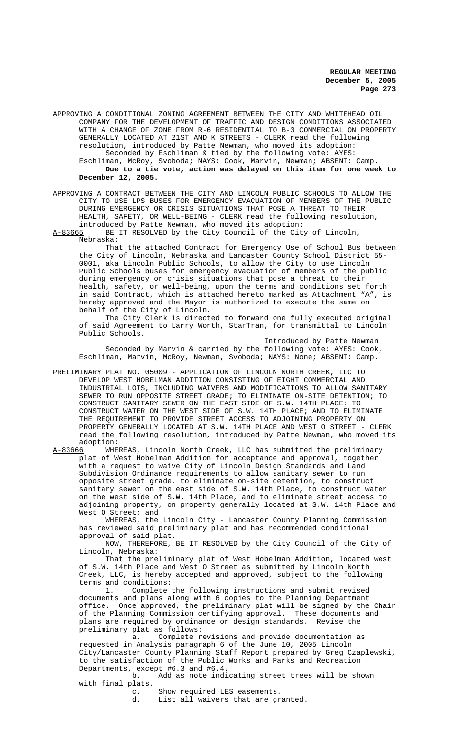APPROVING A CONDITIONAL ZONING AGREEMENT BETWEEN THE CITY AND WHITEHEAD OIL COMPANY FOR THE DEVELOPMENT OF TRAFFIC AND DESIGN CONDITIONS ASSOCIATED WITH A CHANGE OF ZONE FROM R-6 RESIDENTIAL TO B-3 COMMERCIAL ON PROPERTY GENERALLY LOCATED AT 21ST AND K STREETS - CLERK read the following resolution, introduced by Patte Newman, who moved its adoption: Seconded by Eschliman & tied by the following vote: AYES: Eschliman, McRoy, Svoboda; NAYS: Cook, Marvin, Newman; ABSENT: Camp. **Due to a tie vote, action was delayed on this item for one week to December 12, 2005.**

APPROVING A CONTRACT BETWEEN THE CITY AND LINCOLN PUBLIC SCHOOLS TO ALLOW THE CITY TO USE LPS BUSES FOR EMERGENCY EVACUATION OF MEMBERS OF THE PUBLIC DURING EMERGENCY OR CRISIS SITUATIONS THAT POSE A THREAT TO THEIR HEALTH, SAFETY, OR WELL-BEING - CLERK read the following resolution, introduced by Patte Newman, who moved its adoption:<br>A-83665 BE IT RESOLVED by the City Council of the Cit

BE IT RESOLVED by the City Council of the City of Lincoln, Nebraska:

That the attached Contract for Emergency Use of School Bus between the City of Lincoln, Nebraska and Lancaster County School District 55- 0001, aka Lincoln Public Schools, to allow the City to use Lincoln Public Schools buses for emergency evacuation of members of the public during emergency or crisis situations that pose a threat to their health, safety, or well-being, upon the terms and conditions set forth in said Contract, which is attached hereto marked as Attachment "A", is hereby approved and the Mayor is authorized to execute the same on behalf of the City of Lincoln.

The City Clerk is directed to forward one fully executed original of said Agreement to Larry Worth, StarTran, for transmittal to Lincoln Public Schools.

Introduced by Patte Newman Seconded by Marvin & carried by the following vote: AYES: Cook, Eschliman, Marvin, McRoy, Newman, Svoboda; NAYS: None; ABSENT: Camp.

PRELIMINARY PLAT NO. 05009 - APPLICATION OF LINCOLN NORTH CREEK, LLC TO DEVELOP WEST HOBELMAN ADDITION CONSISTING OF EIGHT COMMERCIAL AND INDUSTRIAL LOTS, INCLUDING WAIVERS AND MODIFICATIONS TO ALLOW SANITARY SEWER TO RUN OPPOSITE STREET GRADE; TO ELIMINATE ON-SITE DETENTION; TO CONSTRUCT SANITARY SEWER ON THE EAST SIDE OF S.W. 14TH PLACE; TO CONSTRUCT WATER ON THE WEST SIDE OF S.W. 14TH PLACE; AND TO ELIMINATE THE REQUIREMENT TO PROVIDE STREET ACCESS TO ADJOINING PROPERTY ON PROPERTY GENERALLY LOCATED AT S.W. 14TH PLACE AND WEST O STREET - CLERK read the following resolution, introduced by Patte Newman, who moved its adoption:<br>A-83666 WHEF

WHEREAS, Lincoln North Creek, LLC has submitted the preliminary plat of West Hobelman Addition for acceptance and approval, together with a request to waive City of Lincoln Design Standards and Land Subdivision Ordinance requirements to allow sanitary sewer to run opposite street grade, to eliminate on-site detention, to construct sanitary sewer on the east side of S.W. 14th Place, to construct water on the west side of S.W. 14th Place, and to eliminate street access to adjoining property, on property generally located at S.W. 14th Place and West O Street; and

WHEREAS, the Lincoln City - Lancaster County Planning Commission has reviewed said preliminary plat and has recommended conditional approval of said plat.

NOW, THEREFORE, BE IT RESOLVED by the City Council of the City of Lincoln, Nebraska:

That the preliminary plat of West Hobelman Addition, located west of S.W. 14th Place and West O Street as submitted by Lincoln North Creek, LLC, is hereby accepted and approved, subject to the following terms and conditions:

1. Complete the following instructions and submit revised documents and plans along with 6 copies to the Planning Department office. Once approved, the preliminary plat will be signed by the Chair of the Planning Commission certifying approval. These documents and plans are required by ordinance or design standards. Revise the preliminary plat as follows:

a. Complete revisions and provide documentation as requested in Analysis paragraph 6 of the June 10, 2005 Lincoln City/Lancaster County Planning Staff Report prepared by Greg Czaplewski, to the satisfaction of the Public Works and Parks and Recreation Departments, except #6.3 and #6.4.<br>b. Add as note indi

Add as note indicating street trees will be shown with final plats.

c. Show required LES easements.<br>d. List all waivers that are gr

List all waivers that are granted.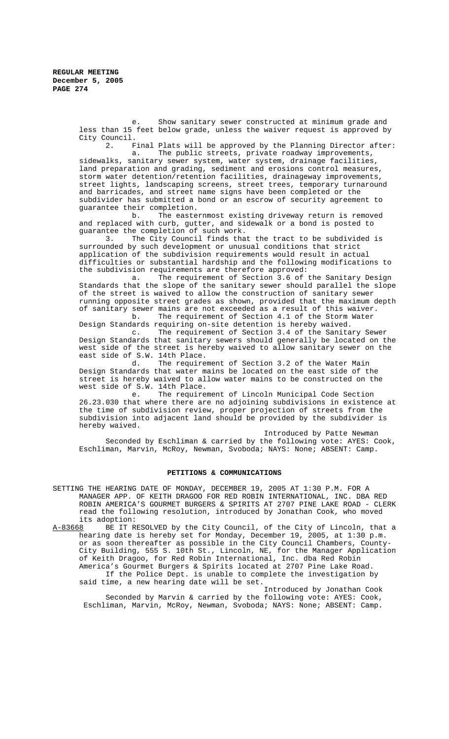e. Show sanitary sewer constructed at minimum grade and less than 15 feet below grade, unless the waiver request is approved by City Council.<br>2. F

Final Plats will be approved by the Planning Director after: a. The public streets, private roadway improvements, sidewalks, sanitary sewer system, water system, drainage facilities, land preparation and grading, sediment and erosions control measures, storm water detention/retention facilities, drainageway improvements, street lights, landscaping screens, street trees, temporary turnaround and barricades, and street name signs have been completed or the subdivider has submitted a bond or an escrow of security agreement to guarantee their completion.

b. The easternmost existing driveway return is removed and replaced with curb, gutter, and sidewalk or a bond is posted to guarantee the completion of such work.<br>3. The City Council finds tha

The City Council finds that the tract to be subdivided is surrounded by such development or unusual conditions that strict application of the subdivision requirements would result in actual difficulties or substantial hardship and the following modifications to

the subdivision requirements are therefore approved:<br>a. The requirement of Section 3.6 of The requirement of Section 3.6 of the Sanitary Design Standards that the slope of the sanitary sewer should parallel the slope of the street is waived to allow the construction of sanitary sewer running opposite street grades as shown, provided that the maximum depth of sanitary sewer mains are not exceeded as a result of this waiver.<br>
h The requirement of Section 4.1 of the Storm Water The requirement of Section 4.1 of the Storm Water

Design Standards requiring on-site detention is hereby waived.<br>
c. The requirement of Section 3.4 of the Sanita

The requirement of Section 3.4 of the Sanitary Sewer Design Standards that sanitary sewers should generally be located on the west side of the street is hereby waived to allow sanitary sewer on the east side of S.W. 14th Place.

d. The requirement of Section 3.2 of the Water Main Design Standards that water mains be located on the east side of the street is hereby waived to allow water mains to be constructed on the west side of S.W. 14th Place.

e. The requirement of Lincoln Municipal Code Section 26.23.030 that where there are no adjoining subdivisions in existence at the time of subdivision review, proper projection of streets from the subdivision into adjacent land should be provided by the subdivider is hereby waived.

Introduced by Patte Newman Seconded by Eschliman & carried by the following vote: AYES: Cook, Eschliman, Marvin, McRoy, Newman, Svoboda; NAYS: None; ABSENT: Camp.

### **PETITIONS & COMMUNICATIONS**

- SETTING THE HEARING DATE OF MONDAY, DECEMBER 19, 2005 AT 1:30 P.M. FOR A MANAGER APP. OF KEITH DRAGOO FOR RED ROBIN INTERNATIONAL, INC. DBA RED ROBIN AMERICA'S GOURMET BURGERS & SPIRITS AT 2707 PINE LAKE ROAD - CLERK read the following resolution, introduced by Jonathan Cook, who moved its adoption:<br><u>A-83668</u> BE IT R
- BE IT RESOLVED by the City Council, of the City of Lincoln, that a hearing date is hereby set for Monday, December 19, 2005, at 1:30 p.m. or as soon thereafter as possible in the City Council Chambers, County-City Building, 555 S. 10th St., Lincoln, NE, for the Manager Application of Keith Dragoo, for Red Robin International, Inc. dba Red Robin America's Gourmet Burgers & Spirits located at 2707 Pine Lake Road. If the Police Dept. is unable to complete the investigation by said time, a new hearing date will be set.

Introduced by Jonathan Cook Seconded by Marvin & carried by the following vote: AYES: Cook, Eschliman, Marvin, McRoy, Newman, Svoboda; NAYS: None; ABSENT: Camp.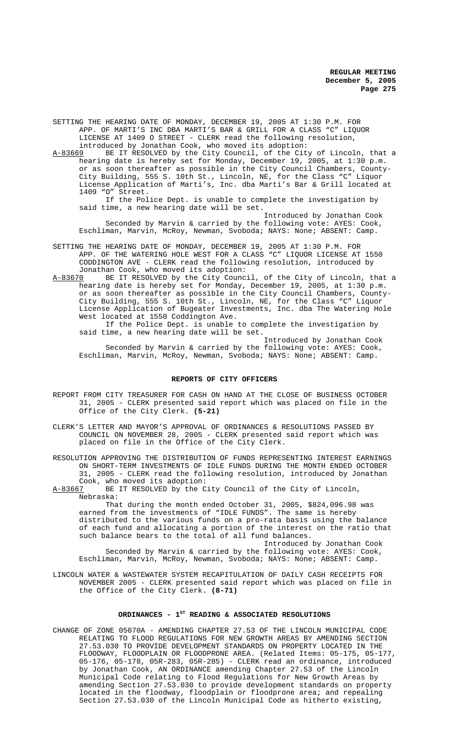SETTING THE HEARING DATE OF MONDAY, DECEMBER 19, 2005 AT 1:30 P.M. FOR APP. OF MARTI'S INC DBA MARTI'S BAR & GRILL FOR A CLASS "C" LIQUOR LICENSE AT 1409 O STREET - CLERK read the following resolution,

introduced by Jonathan Cook, who moved its adoption:<br>A-83669 BE IT RESOLVED by the City Council, of the City BE IT RESOLVED by the City Council, of the City of Lincoln, that a

hearing date is hereby set for Monday, December 19, 2005, at 1:30 p.m. or as soon thereafter as possible in the City Council Chambers, County-City Building, 555 S. 10th St., Lincoln, NE, for the Class "C" Liquor License Application of Marti's, Inc. dba Marti's Bar & Grill located at 1409 "O" Street.

If the Police Dept. is unable to complete the investigation by said time, a new hearing date will be set.

Introduced by Jonathan Cook Seconded by Marvin & carried by the following vote: AYES: Cook, Eschliman, Marvin, McRoy, Newman, Svoboda; NAYS: None; ABSENT: Camp.

- SETTING THE HEARING DATE OF MONDAY, DECEMBER 19, 2005 AT 1:30 P.M. FOR APP. OF THE WATERING HOLE WEST FOR A CLASS "C" LIQUOR LICENSE AT 1550 CODDINGTON AVE - CLERK read the following resolution, introduced by Jonathan Cook, who moved its adoption:
- A-83670 BE IT RESOLVED by the City Council, of the City of Lincoln, that a hearing date is hereby set for Monday, December 19, 2005, at 1:30 p.m. or as soon thereafter as possible in the City Council Chambers, County-City Building, 555 S. 10th St., Lincoln, NE, for the Class "C" Liquor License Application of Bugeater Investments, Inc. dba The Watering Hole West located at 1550 Coddington Ave.

If the Police Dept. is unable to complete the investigation by said time, a new hearing date will be set.

Introduced by Jonathan Cook Seconded by Marvin & carried by the following vote: AYES: Cook, Eschliman, Marvin, McRoy, Newman, Svoboda; NAYS: None; ABSENT: Camp.

## **REPORTS OF CITY OFFICERS**

- REPORT FROM CITY TREASURER FOR CASH ON HAND AT THE CLOSE OF BUSINESS OCTOBER 31, 2005 - CLERK presented said report which was placed on file in the Office of the City Clerk. **(5-21)**
- CLERK'S LETTER AND MAYOR'S APPROVAL OF ORDINANCES & RESOLUTIONS PASSED BY COUNCIL ON NOVEMBER 28, 2005 - CLERK presented said report which was placed on file in the Office of the City Clerk.

RESOLUTION APPROVING THE DISTRIBUTION OF FUNDS REPRESENTING INTEREST EARNINGS ON SHORT-TERM INVESTMENTS OF IDLE FUNDS DURING THE MONTH ENDED OCTOBER 31, 2005 - CLERK read the following resolution, introduced by Jonathan Cook, who moved its adoption:<br>A-83667 BE IT RESOLVED by the C

BE IT RESOLVED by the City Council of the City of Lincoln, Nebraska:

That during the month ended October 31, 2005, \$824,096.98 was earned from the investments of "IDLE FUNDS". The same is hereby distributed to the various funds on a pro-rata basis using the balance of each fund and allocating a portion of the interest on the ratio that such balance bears to the total of all fund balances.

Introduced by Jonathan Cook Seconded by Marvin & carried by the following vote: AYES: Cook, Eschliman, Marvin, McRoy, Newman, Svoboda; NAYS: None; ABSENT: Camp.

LINCOLN WATER & WASTEWATER SYSTEM RECAPITULATION OF DAILY CASH RECEIPTS FOR NOVEMBER 2005 - CLERK presented said report which was placed on file in the Office of the City Clerk. **(8-71)**

### ORDINANCES - 1<sup>st</sup> READING & ASSOCIATED RESOLUTIONS

CHANGE OF ZONE 05070A - AMENDING CHAPTER 27.53 OF THE LINCOLN MUNICIPAL CODE RELATING TO FLOOD REGULATIONS FOR NEW GROWTH AREAS BY AMENDING SECTION 27.53.030 TO PROVIDE DEVELOPMENT STANDARDS ON PROPERTY LOCATED IN THE FLOODWAY, FLOODPLAIN OR FLOODPRONE AREA. (Related Items: 05-175, 05-177, 05-176, 05-178, 05R-283, 05R-285) - CLERK read an ordinance, introduced by Jonathan Cook, AN ORDINANCE amending Chapter 27.53 of the Lincoln Municipal Code relating to Flood Regulations for New Growth Areas by amending Section 27.53.030 to provide development standards on property located in the floodway, floodplain or floodprone area; and repealing Section 27.53.030 of the Lincoln Municipal Code as hitherto existing,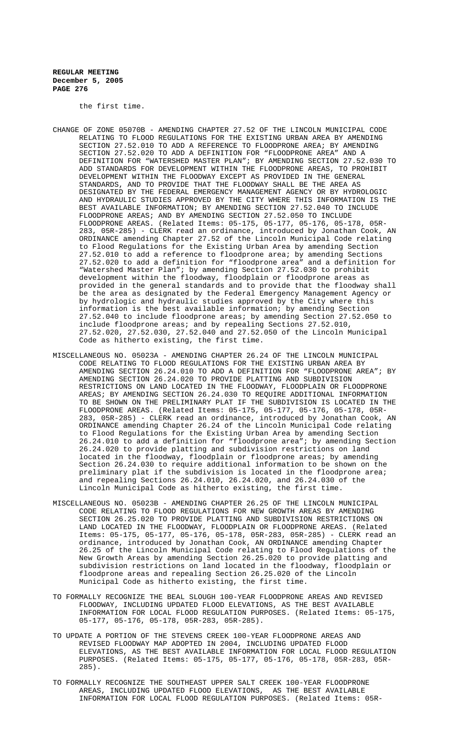the first time.

- CHANGE OF ZONE 05070B AMENDING CHAPTER 27.52 OF THE LINCOLN MUNICIPAL CODE RELATING TO FLOOD REGULATIONS FOR THE EXISTING URBAN AREA BY AMENDING SECTION 27.52.010 TO ADD A REFERENCE TO FLOODPRONE AREA; BY AMENDING SECTION 27.52.020 TO ADD A DEFINITION FOR "FLOODPRONE AREA" AND A DEFINITION FOR "WATERSHED MASTER PLAN"; BY AMENDING SECTION 27.52.030 TO ADD STANDARDS FOR DEVELOPMENT WITHIN THE FLOODPRONE AREAS, TO PROHIBIT DEVELOPMENT WITHIN THE FLOODWAY EXCEPT AS PROVIDED IN THE GENERAL STANDARDS, AND TO PROVIDE THAT THE FLOODWAY SHALL BE THE AREA AS DESIGNATED BY THE FEDERAL EMERGENCY MANAGEMENT AGENCY OR BY HYDROLOGIC AND HYDRAULIC STUDIES APPROVED BY THE CITY WHERE THIS INFORMATION IS THE BEST AVAILABLE INFORMATION; BY AMENDING SECTION 27.52.040 TO INCLUDE FLOODPRONE AREAS; AND BY AMENDING SECTION 27.52.050 TO INCLUDE FLOODPRONE AREAS. (Related Items: 05-175, 05-177, 05-176, 05-178, 05R-283, 05R-285) - CLERK read an ordinance, introduced by Jonathan Cook, AN ORDINANCE amending Chapter 27.52 of the Lincoln Municipal Code relating to Flood Regulations for the Existing Urban Area by amending Section 27.52.010 to add a reference to floodprone area; by amending Sections 27.52.020 to add a definition for "floodprone area" and a definition for "Watershed Master Plan"; by amending Section 27.52.030 to prohibit development within the floodway, floodplain or floodprone areas as provided in the general standards and to provide that the floodway shall be the area as designated by the Federal Emergency Management Agency or by hydrologic and hydraulic studies approved by the City where this information is the best available information; by amending Section 27.52.040 to include floodprone areas; by amending Section 27.52.050 to include floodprone areas; and by repealing Sections 27.52.010, 27.52.020, 27.52.030, 27.52.040 and 27.52.050 of the Lincoln Municipal Code as hitherto existing, the first time.
- MISCELLANEOUS NO. 05023A AMENDING CHAPTER 26.24 OF THE LINCOLN MUNICIPAL CODE RELATING TO FLOOD REGULATIONS FOR THE EXISTING URBAN AREA BY AMENDING SECTION 26.24.010 TO ADD A DEFINITION FOR "FLOODPRONE AREA"; BY AMENDING SECTION 26.24.020 TO PROVIDE PLATTING AND SUBDIVISION RESTRICTIONS ON LAND LOCATED IN THE FLOODWAY, FLOODPLAIN OR FLOODPRONE AREAS; BY AMENDING SECTION 26.24.030 TO REQUIRE ADDITIONAL INFORMATION TO BE SHOWN ON THE PRELIMINARY PLAT IF THE SUBDIVISION IS LOCATED IN THE FLOODPRONE AREAS. (Related Items: 05-175, 05-177, 05-176, 05-178, 05R-283, 05R-285) - CLERK read an ordinance, introduced by Jonathan Cook, AN ORDINANCE amending Chapter 26.24 of the Lincoln Municipal Code relating to Flood Regulations for the Existing Urban Area by amending Section 26.24.010 to add a definition for "floodprone area"; by amending Section 26.24.020 to provide platting and subdivision restrictions on land located in the floodway, floodplain or floodprone areas; by amending Section 26.24.030 to require additional information to be shown on the preliminary plat if the subdivision is located in the floodprone area; and repealing Sections 26.24.010, 26.24.020, and 26.24.030 of the Lincoln Municipal Code as hitherto existing, the first time.
- MISCELLANEOUS NO. 05023B AMENDING CHAPTER 26.25 OF THE LINCOLN MUNICIPAL CODE RELATING TO FLOOD REGULATIONS FOR NEW GROWTH AREAS BY AMENDING SECTION 26.25.020 TO PROVIDE PLATTING AND SUBDIVISION RESTRICTIONS ON LAND LOCATED IN THE FLOODWAY, FLOODPLAIN OR FLOODPRONE AREAS. (Related Items: 05-175, 05-177, 05-176, 05-178, 05R-283, 05R-285) - CLERK read an ordinance, introduced by Jonathan Cook, AN ORDINANCE amending Chapter 26.25 of the Lincoln Municipal Code relating to Flood Regulations of the New Growth Areas by amending Section 26.25.020 to provide platting and subdivision restrictions on land located in the floodway, floodplain or floodprone areas and repealing Section 26.25.020 of the Lincoln Municipal Code as hitherto existing, the first time.
- TO FORMALLY RECOGNIZE THE BEAL SLOUGH 100-YEAR FLOODPRONE AREAS AND REVISED FLOODWAY, INCLUDING UPDATED FLOOD ELEVATIONS, AS THE BEST AVAILABLE INFORMATION FOR LOCAL FLOOD REGULATION PURPOSES. (Related Items: 05-175, 05-177, 05-176, 05-178, 05R-283, 05R-285).
- TO UPDATE A PORTION OF THE STEVENS CREEK 100-YEAR FLOODPRONE AREAS AND REVISED FLOODWAY MAP ADOPTED IN 2004, INCLUDING UPDATED FLOOD ELEVATIONS, AS THE BEST AVAILABLE INFORMATION FOR LOCAL FLOOD REGULATION PURPOSES. (Related Items: 05-175, 05-177, 05-176, 05-178, 05R-283, 05R-285).
- TO FORMALLY RECOGNIZE THE SOUTHEAST UPPER SALT CREEK 100-YEAR FLOODPRONE AREAS, INCLUDING UPDATED FLOOD ELEVATIONS, AS THE BEST AVAILABLE INFORMATION FOR LOCAL FLOOD REGULATION PURPOSES. (Related Items: 05R-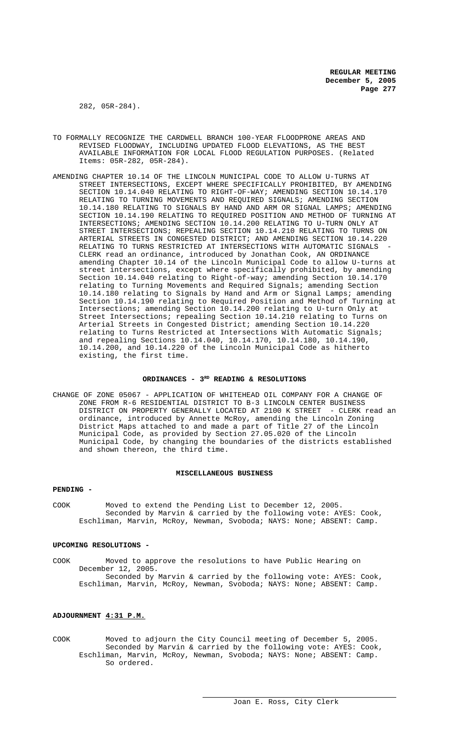282, 05R-284).

- TO FORMALLY RECOGNIZE THE CARDWELL BRANCH 100-YEAR FLOODPRONE AREAS AND REVISED FLOODWAY, INCLUDING UPDATED FLOOD ELEVATIONS, AS THE BEST AVAILABLE INFORMATION FOR LOCAL FLOOD REGULATION PURPOSES. (Related Items: 05R-282, 05R-284).
- AMENDING CHAPTER 10.14 OF THE LINCOLN MUNICIPAL CODE TO ALLOW U-TURNS AT STREET INTERSECTIONS, EXCEPT WHERE SPECIFICALLY PROHIBITED, BY AMENDING SECTION 10.14.040 RELATING TO RIGHT-OF-WAY; AMENDING SECTION 10.14.170 RELATING TO TURNING MOVEMENTS AND REQUIRED SIGNALS; AMENDING SECTION 10.14.180 RELATING TO SIGNALS BY HAND AND ARM OR SIGNAL LAMPS; AMENDING SECTION 10.14.190 RELATING TO REQUIRED POSITION AND METHOD OF TURNING AT INTERSECTIONS; AMENDING SECTION 10.14.200 RELATING TO U-TURN ONLY AT STREET INTERSECTIONS; REPEALING SECTION 10.14.210 RELATING TO TURNS ON ARTERIAL STREETS IN CONGESTED DISTRICT; AND AMENDING SECTION 10.14.220 RELATING TO TURNS RESTRICTED AT INTERSECTIONS WITH AUTOMATIC SIGNALS CLERK read an ordinance, introduced by Jonathan Cook, AN ORDINANCE amending Chapter 10.14 of the Lincoln Municipal Code to allow U-turns at street intersections, except where specifically prohibited, by amending Section 10.14.040 relating to Right-of-way; amending Section 10.14.170 relating to Turning Movements and Required Signals; amending Section 10.14.180 relating to Signals by Hand and Arm or Signal Lamps; amending Section 10.14.190 relating to Required Position and Method of Turning at Intersections; amending Section 10.14.200 relating to U-turn Only at Street Intersections; repealing Section 10.14.210 relating to Turns on Arterial Streets in Congested District; amending Section 10.14.220 relating to Turns Restricted at Intersections With Automatic Signals; and repealing Sections 10.14.040, 10.14.170, 10.14.180, 10.14.190, 10.14.200, and 10.14.220 of the Lincoln Municipal Code as hitherto existing, the first time.

### ORDINANCES - 3<sup>RD</sup> READING & RESOLUTIONS

CHANGE OF ZONE 05067 - APPLICATION OF WHITEHEAD OIL COMPANY FOR A CHANGE OF ZONE FROM R-6 RESIDENTIAL DISTRICT TO B-3 LINCOLN CENTER BUSINESS DISTRICT ON PROPERTY GENERALLY LOCATED AT 2100 K STREET - CLERK read an ordinance, introduced by Annette McRoy, amending the Lincoln Zoning District Maps attached to and made a part of Title 27 of the Lincoln Municipal Code, as provided by Section 27.05.020 of the Lincoln Municipal Code, by changing the boundaries of the districts established and shown thereon, the third time.

### **MISCELLANEOUS BUSINESS**

# **PENDING -**

COOK Moved to extend the Pending List to December 12, 2005. Seconded by Marvin & carried by the following vote: AYES: Cook, Eschliman, Marvin, McRoy, Newman, Svoboda; NAYS: None; ABSENT: Camp.

#### **UPCOMING RESOLUTIONS -**

COOK Moved to approve the resolutions to have Public Hearing on December 12, 2005. Seconded by Marvin & carried by the following vote: AYES: Cook, Eschliman, Marvin, McRoy, Newman, Svoboda; NAYS: None; ABSENT: Camp.

# **ADJOURNMENT 4:31 P.M.**

COOK Moved to adjourn the City Council meeting of December 5, 2005. Seconded by Marvin & carried by the following vote: AYES: Cook, Eschliman, Marvin, McRoy, Newman, Svoboda; NAYS: None; ABSENT: Camp. So ordered.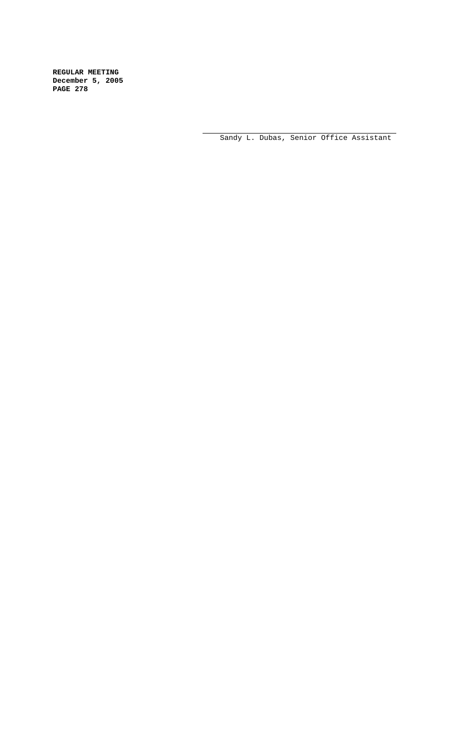Sandy L. Dubas, Senior Office Assistant